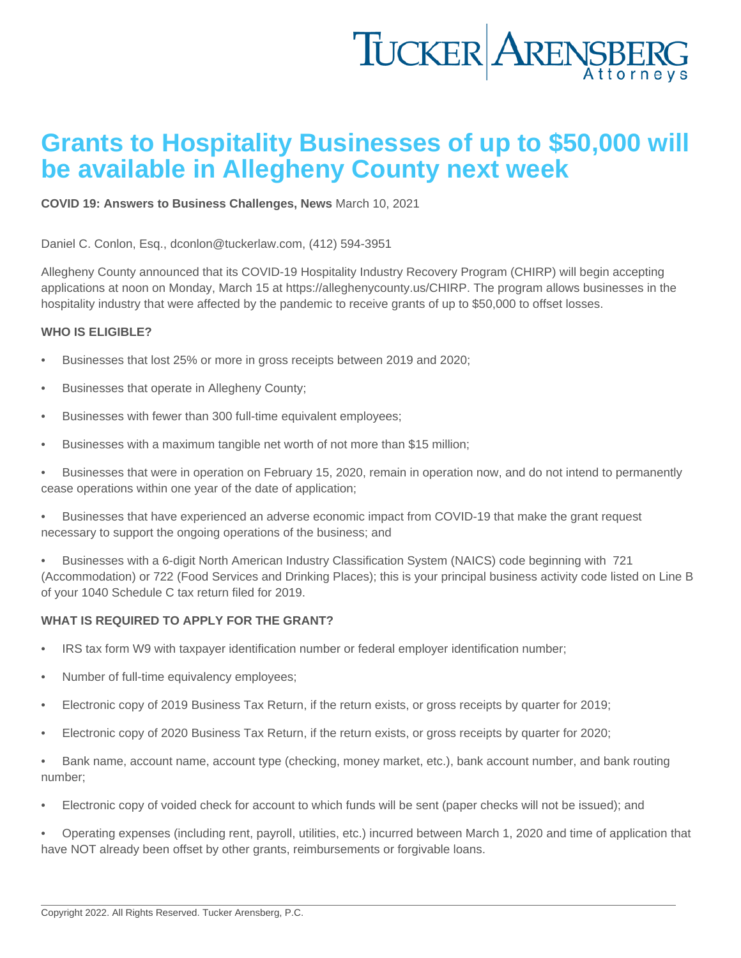## Grants to Hospitality Businesses of up to \$50,000 will be available in Allegheny County next week

[COVID 19: Answers to Business Challenges](https://www.tuckerlaw.com/category/covid-19-answers-to-business-challenges/) , [News](https://www.tuckerlaw.com/category/news/) March 10, 2021

Daniel C. Conlon, Esq., [dconlon@tuckerlaw.com,](mailto:dconlon@tuckerlaw.com) (412) 594-3951

Allegheny County announced that its COVID-19 Hospitality Industry Recovery Program (CHIRP) will begin accepting applications at noon on Monday, March 15 at [https://alleghenycounty.us/CHIRP.](https://alleghenycounty.us/CHIRP) The program allows businesses in the hospitality industry that were affected by the pandemic to receive grants of up to \$50,000 to offset losses.

## WHO IS ELIGIBLE?

- Businesses that lost 25% or more in gross receipts between 2019 and 2020;
- Businesses that operate in Allegheny County;
- Businesses with fewer than 300 full-time equivalent employees;
- Businesses with a maximum tangible net worth of not more than \$15 million;
- Businesses that were in operation on February 15, 2020, remain in operation now, and do not intend to permanently cease operations within one year of the date of application;
- Businesses that have experienced an adverse economic impact from COVID-19 that make the grant request necessary to support the ongoing operations of the business; and
- Businesses with a 6-digit North American Industry Classification System (NAICS) code beginning with 721 (Accommodation) or 722 (Food Services and Drinking Places); this is your principal business activity code listed on Line B of your 1040 Schedule C tax return filed for 2019.

## WHAT IS REQUIRED TO APPLY FOR THE GRANT?

- IRS tax form W9 with taxpayer identification number or federal employer identification number;
- Number of full-time equivalency employees;
- Electronic copy of 2019 Business Tax Return, if the return exists, or gross receipts by quarter for 2019;
- Electronic copy of 2020 Business Tax Return, if the return exists, or gross receipts by quarter for 2020;
- Bank name, account name, account type (checking, money market, etc.), bank account number, and bank routing number;
- Electronic copy of voided check for account to which funds will be sent (paper checks will not be issued); and
- Operating expenses (including rent, payroll, utilities, etc.) incurred between March 1, 2020 and time of application that have NOT already been offset by other grants, reimbursements or forgivable loans.